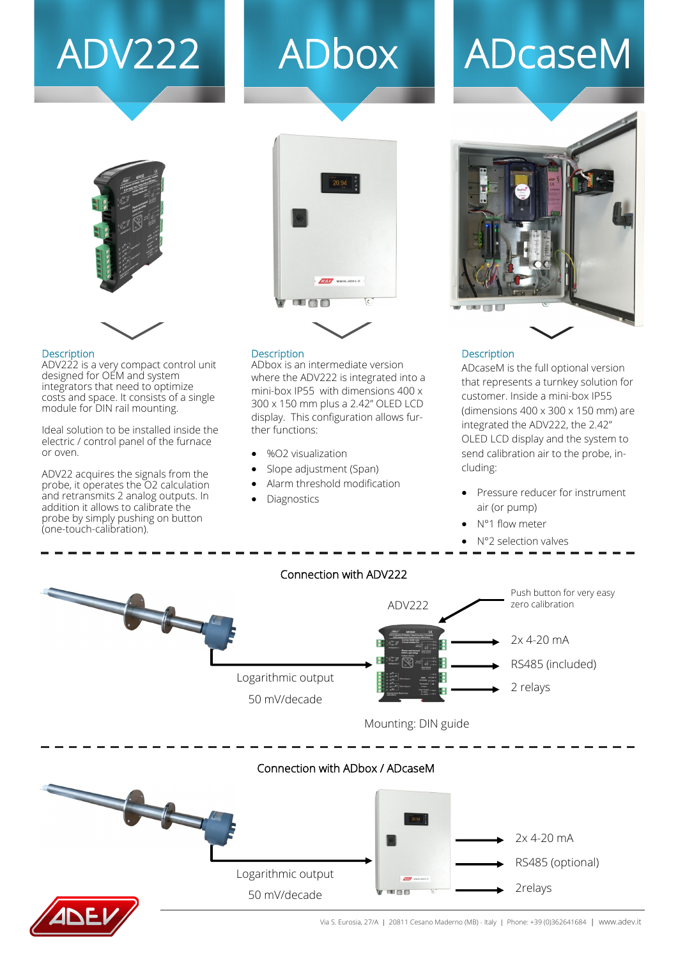# ADV222 ADbox ADcaseM





#### **Description**

ADV222 is a very compact control unit designed for OEM and system integrators that need to optimize costs and space. It consists of a single module for DIN rail mounting.

Ideal solution to be installed inside the electric / control panel of the furnace or oven.

ADV22 acquires the signals from the probe, it operates the O2 calculation and retransmits 2 analog outputs. In addition it allows to calibrate the probe by simply pushing on button (one-touch-calibration).

#### **Description**

ADbox is an intermediate version where the ADV222 is integrated into a mini-box IP55 with dimensions 400 x 300 x 150 mm plus a 2.42" OLED LCD display. This configuration allows further functions:

- %O2 visualization
- Slope adjustment (Span)
- Alarm threshold modification
- Diagnostics



#### Description

ADcaseM is the full optional version that represents a turnkey solution for customer. Inside a mini-box IP55 (dimensions 400 x 300 x 150 mm) are integrated the ADV222, the 2.42" OLED LCD display and the system to send calibration air to the probe, including:

- Pressure reducer for instrument air (or pump)
- N°1 flow meter
- N°2 selection valves



#### Connection with ADbox / ADcaseM





Via S. Eurosia, 27/A | 20811 Cesano Maderno (MB) - Italy | Phone: +39 (0)362641684 | www.adev.it